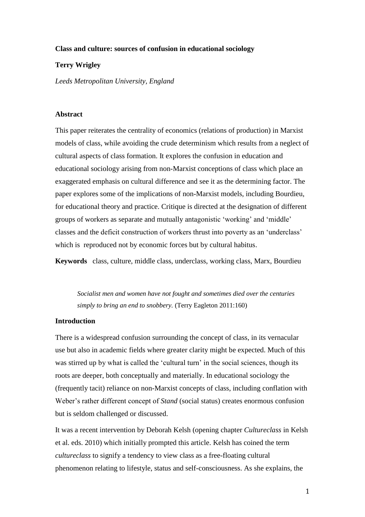## **Class and culture: sources of confusion in educational sociology**

# **Terry Wrigley**

*Leeds Metropolitan University, England* 

## **Abstract**

This paper reiterates the centrality of economics (relations of production) in Marxist models of class, while avoiding the crude determinism which results from a neglect of cultural aspects of class formation. It explores the confusion in education and educational sociology arising from non-Marxist conceptions of class which place an exaggerated emphasis on cultural difference and see it as the determining factor. The paper explores some of the implications of non-Marxist models, including Bourdieu, for educational theory and practice. Critique is directed at the designation of different groups of workers as separate and mutually antagonistic 'working' and 'middle' classes and the deficit construction of workers thrust into poverty as an 'underclass' which is reproduced not by economic forces but by cultural habitus.

**Keywords** class, culture, middle class, underclass, working class, Marx, Bourdieu

*Socialist men and women have not fought and sometimes died over the centuries simply to bring an end to snobbery.* (Terry Eagleton 2011:160)

# **Introduction**

There is a widespread confusion surrounding the concept of class, in its vernacular use but also in academic fields where greater clarity might be expected. Much of this was stirred up by what is called the 'cultural turn' in the social sciences, though its roots are deeper, both conceptually and materially. In educational sociology the (frequently tacit) reliance on non-Marxist concepts of class, including conflation with Weber's rather different concept of *Stand* (social status) creates enormous confusion but is seldom challenged or discussed.

It was a recent intervention by Deborah Kelsh (opening chapter *Cultureclass* in Kelsh et al. eds. 2010) which initially prompted this article. Kelsh has coined the term *cultureclass* to signify a tendency to view class as a free-floating cultural phenomenon relating to lifestyle, status and self-consciousness. As she explains, the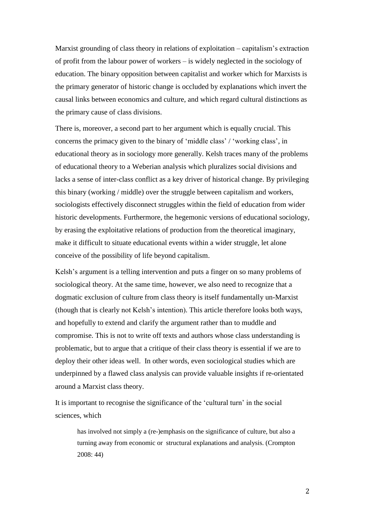Marxist grounding of class theory in relations of exploitation – capitalism's extraction of profit from the labour power of workers – is widely neglected in the sociology of education. The binary opposition between capitalist and worker which for Marxists is the primary generator of historic change is occluded by explanations which invert the causal links between economics and culture, and which regard cultural distinctions as the primary cause of class divisions.

There is, moreover, a second part to her argument which is equally crucial. This concerns the primacy given to the binary of 'middle class' / 'working class', in educational theory as in sociology more generally. Kelsh traces many of the problems of educational theory to a Weberian analysis which pluralizes social divisions and lacks a sense of inter-class conflict as a key driver of historical change. By privileging this binary (working / middle) over the struggle between capitalism and workers, sociologists effectively disconnect struggles within the field of education from wider historic developments. Furthermore, the hegemonic versions of educational sociology, by erasing the exploitative relations of production from the theoretical imaginary, make it difficult to situate educational events within a wider struggle, let alone conceive of the possibility of life beyond capitalism.

Kelsh's argument is a telling intervention and puts a finger on so many problems of sociological theory. At the same time, however, we also need to recognize that a dogmatic exclusion of culture from class theory is itself fundamentally un-Marxist (though that is clearly not Kelsh's intention). This article therefore looks both ways, and hopefully to extend and clarify the argument rather than to muddle and compromise. This is not to write off texts and authors whose class understanding is problematic, but to argue that a critique of their class theory is essential if we are to deploy their other ideas well. In other words, even sociological studies which are underpinned by a flawed class analysis can provide valuable insights if re-orientated around a Marxist class theory.

It is important to recognise the significance of the 'cultural turn' in the social sciences, which

has involved not simply a (re-)emphasis on the significance of culture, but also a turning away from economic or structural explanations and analysis. (Crompton 2008: 44)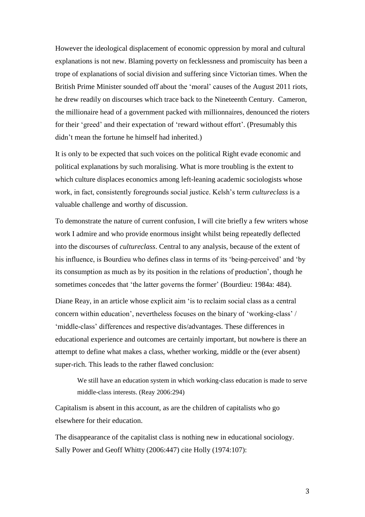However the ideological displacement of economic oppression by moral and cultural explanations is not new. Blaming poverty on fecklessness and promiscuity has been a trope of explanations of social division and suffering since Victorian times. When the British Prime Minister sounded off about the 'moral' causes of the August 2011 riots, he drew readily on discourses which trace back to the Nineteenth Century. Cameron, the millionaire head of a government packed with millionnaires, denounced the rioters for their 'greed' and their expectation of 'reward without effort'. (Presumably this didn't mean the fortune he himself had inherited.)

It is only to be expected that such voices on the political Right evade economic and political explanations by such moralising. What is more troubling is the extent to which culture displaces economics among left-leaning academic sociologists whose work, in fact, consistently foregrounds social justice. Kelsh's term *cultureclass* is a valuable challenge and worthy of discussion.

To demonstrate the nature of current confusion, I will cite briefly a few writers whose work I admire and who provide enormous insight whilst being repeatedly deflected into the discourses of *cultureclass*. Central to any analysis, because of the extent of his influence, is Bourdieu who defines class in terms of its 'being-perceived' and 'by its consumption as much as by its position in the relations of production', though he sometimes concedes that 'the latter governs the former' (Bourdieu: 1984a: 484).

Diane Reay, in an article whose explicit aim 'is to reclaim social class as a central concern within education', nevertheless focuses on the binary of 'working-class' / 'middle-class' differences and respective dis/advantages. These differences in educational experience and outcomes are certainly important, but nowhere is there an attempt to define what makes a class, whether working, middle or the (ever absent) super-rich. This leads to the rather flawed conclusion:

We still have an education system in which working-class education is made to serve middle-class interests. (Reay 2006:294)

Capitalism is absent in this account, as are the children of capitalists who go elsewhere for their education.

The disappearance of the capitalist class is nothing new in educational sociology. Sally Power and Geoff Whitty (2006:447) cite Holly (1974:107):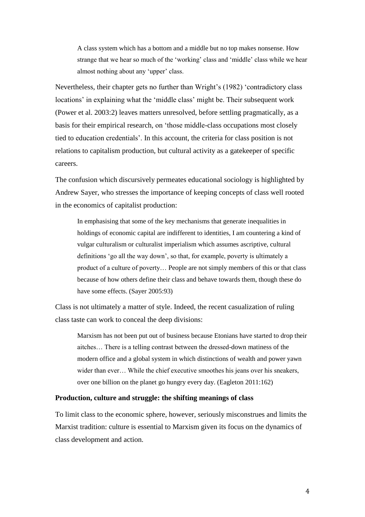A class system which has a bottom and a middle but no top makes nonsense. How strange that we hear so much of the 'working' class and 'middle' class while we hear almost nothing about any 'upper' class.

Nevertheless, their chapter gets no further than Wright's (1982) 'contradictory class locations' in explaining what the 'middle class' might be. Their subsequent work (Power et al. 2003:2) leaves matters unresolved, before settling pragmatically, as a basis for their empirical research, on 'those middle-class occupations most closely tied to education credentials'. In this account, the criteria for class position is not relations to capitalism production, but cultural activity as a gatekeeper of specific careers.

The confusion which discursively permeates educational sociology is highlighted by Andrew Sayer, who stresses the importance of keeping concepts of class well rooted in the economics of capitalist production:

In emphasising that some of the key mechanisms that generate inequalities in holdings of economic capital are indifferent to identities, I am countering a kind of vulgar culturalism or culturalist imperialism which assumes ascriptive, cultural definitions 'go all the way down', so that, for example, poverty is ultimately a product of a culture of poverty… People are not simply members of this or that class because of how others define their class and behave towards them, though these do have some effects. (Sayer 2005:93)

Class is not ultimately a matter of style. Indeed, the recent casualization of ruling class taste can work to conceal the deep divisions:

Marxism has not been put out of business because Etonians have started to drop their aitches… There is a telling contrast between the dressed-down matiness of the modern office and a global system in which distinctions of wealth and power yawn wider than ever... While the chief executive smoothes his jeans over his sneakers, over one billion on the planet go hungry every day. (Eagleton 2011:162)

#### **Production, culture and struggle: the shifting meanings of class**

To limit class to the economic sphere, however, seriously misconstrues and limits the Marxist tradition: culture is essential to Marxism given its focus on the dynamics of class development and action.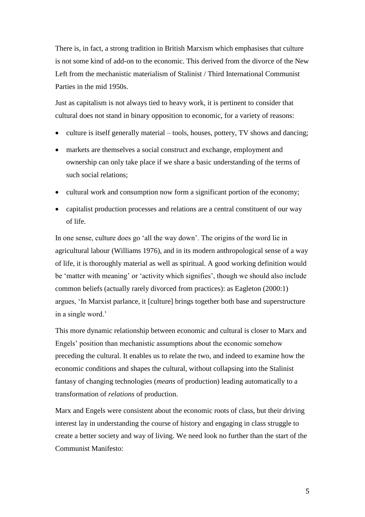There is, in fact, a strong tradition in British Marxism which emphasises that culture is not some kind of add-on to the economic. This derived from the divorce of the New Left from the mechanistic materialism of Stalinist / Third International Communist Parties in the mid 1950s.

Just as capitalism is not always tied to heavy work, it is pertinent to consider that cultural does not stand in binary opposition to economic, for a variety of reasons:

- culture is itself generally material tools, houses, pottery, TV shows and dancing;
- markets are themselves a social construct and exchange, employment and ownership can only take place if we share a basic understanding of the terms of such social relations;
- cultural work and consumption now form a significant portion of the economy;
- capitalist production processes and relations are a central constituent of our way of life.

In one sense, culture does go 'all the way down'. The origins of the word lie in agricultural labour (Williams 1976), and in its modern anthropological sense of a way of life, it is thoroughly material as well as spiritual. A good working definition would be 'matter with meaning' or 'activity which signifies', though we should also include common beliefs (actually rarely divorced from practices): as Eagleton (2000:1) argues, 'In Marxist parlance, it [culture] brings together both base and superstructure in a single word.'

This more dynamic relationship between economic and cultural is closer to Marx and Engels' position than mechanistic assumptions about the economic somehow preceding the cultural. It enables us to relate the two, and indeed to examine how the economic conditions and shapes the cultural, without collapsing into the Stalinist fantasy of changing technologies (*means* of production) leading automatically to a transformation of *relations* of production.

Marx and Engels were consistent about the economic roots of class, but their driving interest lay in understanding the course of history and engaging in class struggle to create a better society and way of living. We need look no further than the start of the Communist Manifesto: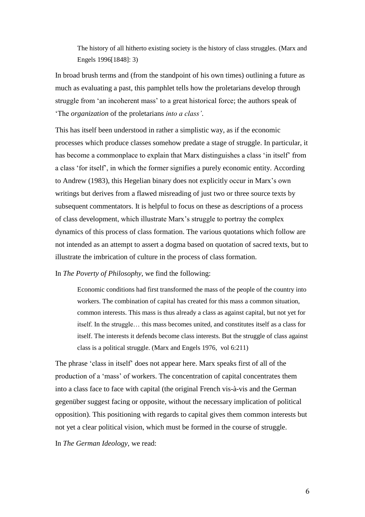The history of all hitherto existing society is the history of class struggles. (Marx and Engels 1996[1848]: 3)

In broad brush terms and (from the standpoint of his own times) outlining a future as much as evaluating a past, this pamphlet tells how the proletarians develop through struggle from 'an incoherent mass' to a great historical force; the authors speak of 'The *organization* of the proletarians *into a class'*.

This has itself been understood in rather a simplistic way, as if the economic processes which produce classes somehow predate a stage of struggle. In particular, it has become a commonplace to explain that Marx distinguishes a class 'in itself' from a class 'for itself', in which the former signifies a purely economic entity. According to Andrew (1983), this Hegelian binary does not explicitly occur in Marx's own writings but derives from a flawed misreading of just two or three source texts by subsequent commentators. It is helpful to focus on these as descriptions of a process of class development, which illustrate Marx's struggle to portray the complex dynamics of this process of class formation. The various quotations which follow are not intended as an attempt to assert a dogma based on quotation of sacred texts, but to illustrate the imbrication of culture in the process of class formation.

In *The Poverty of Philosophy*, we find the following:

Economic conditions had first transformed the mass of the people of the country into workers. The combination of capital has created for this mass a common situation, common interests. This mass is thus already a class as against capital, but not yet for itself. In the struggle… this mass becomes united, and constitutes itself as a class for itself. The interests it defends become class interests. But the struggle of class against class is a political struggle. (Marx and Engels 1976, vol 6:211)

The phrase 'class in itself' does not appear here. Marx speaks first of all of the production of a 'mass' of workers. The concentration of capital concentrates them into a class face to face with capital (the original French vis-à-vis and the German gegenüber suggest facing or opposite, without the necessary implication of political opposition). This positioning with regards to capital gives them common interests but not yet a clear political vision, which must be formed in the course of struggle.

In *The German Ideology*, we read: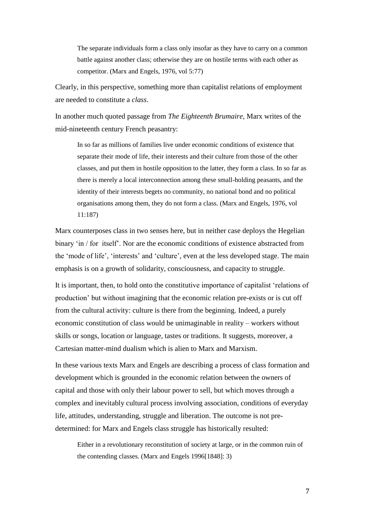The separate individuals form a class only insofar as they have to carry on a common battle against another class; otherwise they are on hostile terms with each other as competitor. (Marx and Engels, 1976, vol 5:77)

Clearly, in this perspective, something more than capitalist relations of employment are needed to constitute a *class*.

In another much quoted passage from *The Eighteenth Brumaire*, Marx writes of the mid-nineteenth century French peasantry:

In so far as millions of families live under economic conditions of existence that separate their mode of life, their interests and their culture from those of the other classes, and put them in hostile opposition to the latter, they form a class. In so far as there is merely a local interconnection among these small-holding peasants, and the identity of their interests begets no community, no national bond and no political organisations among them, they do not form a class. (Marx and Engels, 1976, vol 11:187)

Marx counterposes class in two senses here, but in neither case deploys the Hegelian binary 'in / for itself'. Nor are the economic conditions of existence abstracted from the 'mode of life', 'interests' and 'culture', even at the less developed stage. The main emphasis is on a growth of solidarity, consciousness, and capacity to struggle.

It is important, then, to hold onto the constitutive importance of capitalist 'relations of production' but without imagining that the economic relation pre-exists or is cut off from the cultural activity: culture is there from the beginning. Indeed, a purely economic constitution of class would be unimaginable in reality – workers without skills or songs, location or language, tastes or traditions. It suggests, moreover, a Cartesian matter-mind dualism which is alien to Marx and Marxism.

In these various texts Marx and Engels are describing a process of class formation and development which is grounded in the economic relation between the owners of capital and those with only their labour power to sell, but which moves through a complex and inevitably cultural process involving association, conditions of everyday life, attitudes, understanding, struggle and liberation. The outcome is not predetermined: for Marx and Engels class struggle has historically resulted:

Either in a revolutionary reconstitution of society at large, or in the common ruin of the contending classes. (Marx and Engels 1996[1848]: 3)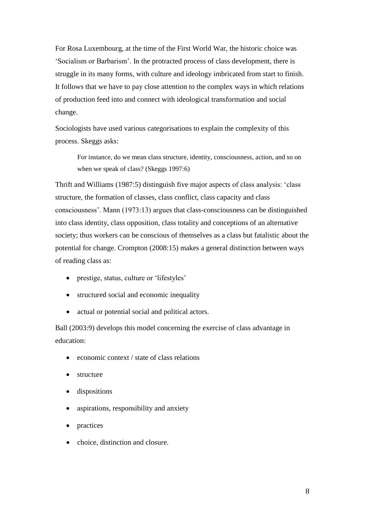For Rosa Luxembourg, at the time of the First World War, the historic choice was 'Socialism or Barbarism'. In the protracted process of class development, there is struggle in its many forms, with culture and ideology imbricated from start to finish. It follows that we have to pay close attention to the complex ways in which relations of production feed into and connect with ideological transformation and social change.

Sociologists have used various categorisations to explain the complexity of this process. Skeggs asks:

For instance, do we mean class structure, identity, consciousness, action, and so on when we speak of class? (Skeggs 1997:6)

Thrift and Williams (1987:5) distinguish five major aspects of class analysis: 'class structure, the formation of classes, class conflict, class capacity and class consciousness'. Mann (1973:13) argues that class-consciousness can be distinguished into class identity, class opposition, class totality and conceptions of an alternative society; thus workers can be conscious of themselves as a class but fatalistic about the potential for change. Crompton (2008:15) makes a general distinction between ways of reading class as:

- prestige, status, culture or 'lifestyles'
- structured social and economic inequality
- actual or potential social and political actors.

Ball (2003:9) develops this model concerning the exercise of class advantage in education:

- economic context / state of class relations
- structure
- dispositions
- aspirations, responsibility and anxiety
- practices
- choice, distinction and closure.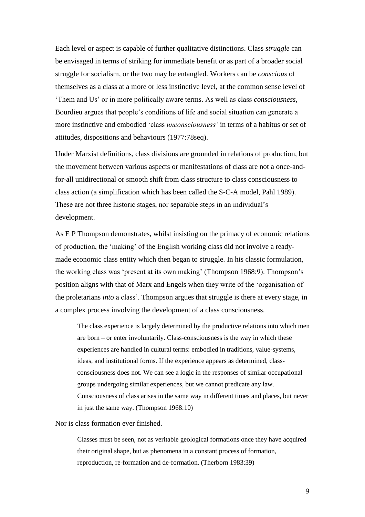Each level or aspect is capable of further qualitative distinctions. Class *struggle* can be envisaged in terms of striking for immediate benefit or as part of a broader social struggle for socialism, or the two may be entangled. Workers can be *conscious* of themselves as a class at a more or less instinctive level, at the common sense level of 'Them and Us' or in more politically aware terms. As well as class *consciousness*, Bourdieu argues that people's conditions of life and social situation can generate a more instinctive and embodied 'class *unconsciousness'* in terms of a habitus or set of attitudes, dispositions and behaviours (1977:78seq).

Under Marxist definitions, class divisions are grounded in relations of production, but the movement between various aspects or manifestations of class are not a once-andfor-all unidirectional or smooth shift from class structure to class consciousness to class action (a simplification which has been called the S-C-A model, Pahl 1989). These are not three historic stages, nor separable steps in an individual's development.

As E P Thompson demonstrates, whilst insisting on the primacy of economic relations of production, the 'making' of the English working class did not involve a readymade economic class entity which then began to struggle. In his classic formulation, the working class was 'present at its own making' (Thompson 1968:9). Thompson's position aligns with that of Marx and Engels when they write of the 'organisation of the proletarians *into* a class'. Thompson argues that struggle is there at every stage, in a complex process involving the development of a class consciousness.

The class experience is largely determined by the productive relations into which men are born – or enter involuntarily. Class-consciousness is the way in which these experiences are handled in cultural terms: embodied in traditions, value-systems, ideas, and institutional forms. If the experience appears as determined, classconsciousness does not. We can see a logic in the responses of similar occupational groups undergoing similar experiences, but we cannot predicate any law. Consciousness of class arises in the same way in different times and places, but never in just the same way. (Thompson 1968:10)

Nor is class formation ever finished.

Classes must be seen, not as veritable geological formations once they have acquired their original shape, but as phenomena in a constant process of formation, reproduction, re-formation and de-formation. (Therborn 1983:39)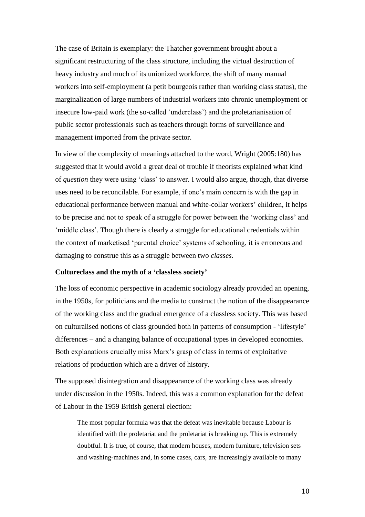The case of Britain is exemplary: the Thatcher government brought about a significant restructuring of the class structure, including the virtual destruction of heavy industry and much of its unionized workforce, the shift of many manual workers into self-employment (a petit bourgeois rather than working class status), the marginalization of large numbers of industrial workers into chronic unemployment or insecure low-paid work (the so-called 'underclass') and the proletarianisation of public sector professionals such as teachers through forms of surveillance and management imported from the private sector.

In view of the complexity of meanings attached to the word, Wright (2005:180) has suggested that it would avoid a great deal of trouble if theorists explained what kind of *question* they were using 'class' to answer. I would also argue, though, that diverse uses need to be reconcilable. For example, if one's main concern is with the gap in educational performance between manual and white-collar workers' children, it helps to be precise and not to speak of a struggle for power between the 'working class' and 'middle class'. Though there is clearly a struggle for educational credentials within the context of marketised 'parental choice' systems of schooling, it is erroneous and damaging to construe this as a struggle between two *classes*.

## **Cultureclass and the myth of a 'classless society'**

The loss of economic perspective in academic sociology already provided an opening, in the 1950s, for politicians and the media to construct the notion of the disappearance of the working class and the gradual emergence of a classless society. This was based on culturalised notions of class grounded both in patterns of consumption - 'lifestyle' differences – and a changing balance of occupational types in developed economies. Both explanations crucially miss Marx's grasp of class in terms of exploitative relations of production which are a driver of history.

The supposed disintegration and disappearance of the working class was already under discussion in the 1950s. Indeed, this was a common explanation for the defeat of Labour in the 1959 British general election:

The most popular formula was that the defeat was inevitable because Labour is identified with the proletariat and the proletariat is breaking up. This is extremely doubtful. It is true, of course, that modern houses, modern furniture, television sets and washing-machines and, in some cases, cars, are increasingly available to many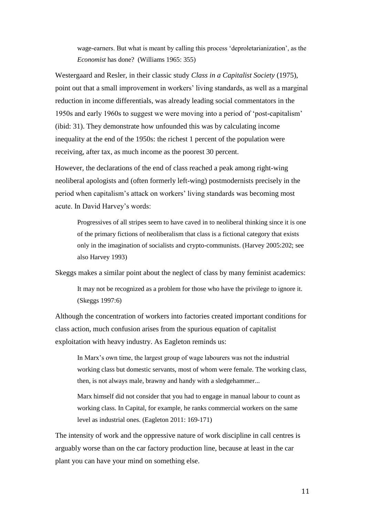wage-earners. But what is meant by calling this process 'deproletarianization', as the *Economist* has done? (Williams 1965: 355)

Westergaard and Resler, in their classic study *Class in a Capitalist Society* (1975), point out that a small improvement in workers' living standards, as well as a marginal reduction in income differentials, was already leading social commentators in the 1950s and early 1960s to suggest we were moving into a period of 'post-capitalism' (ibid: 31). They demonstrate how unfounded this was by calculating income inequality at the end of the 1950s: the richest 1 percent of the population were receiving, after tax, as much income as the poorest 30 percent.

However, the declarations of the end of class reached a peak among right-wing neoliberal apologists and (often formerly left-wing) postmodernists precisely in the period when capitalism's attack on workers' living standards was becoming most acute. In David Harvey's words:

Progressives of all stripes seem to have caved in to neoliberal thinking since it is one of the primary fictions of neoliberalism that class is a fictional category that exists only in the imagination of socialists and crypto-communists. (Harvey 2005:202; see also Harvey 1993)

Skeggs makes a similar point about the neglect of class by many feminist academics:

It may not be recognized as a problem for those who have the privilege to ignore it. (Skeggs 1997:6)

Although the concentration of workers into factories created important conditions for class action, much confusion arises from the spurious equation of capitalist exploitation with heavy industry. As Eagleton reminds us:

In Marx's own time, the largest group of wage labourers was not the industrial working class but domestic servants, most of whom were female. The working class, then, is not always male, brawny and handy with a sledgehammer...

Marx himself did not consider that you had to engage in manual labour to count as working class. In Capital, for example, he ranks commercial workers on the same level as industrial ones. (Eagleton 2011: 169-171)

The intensity of work and the oppressive nature of work discipline in call centres is arguably worse than on the car factory production line, because at least in the car plant you can have your mind on something else.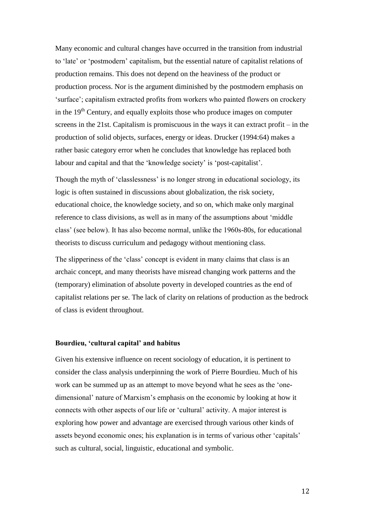Many economic and cultural changes have occurred in the transition from industrial to 'late' or 'postmodern' capitalism, but the essential nature of capitalist relations of production remains. This does not depend on the heaviness of the product or production process. Nor is the argument diminished by the postmodern emphasis on 'surface'; capitalism extracted profits from workers who painted flowers on crockery in the 19<sup>th</sup> Century, and equally exploits those who produce images on computer screens in the 21st. Capitalism is promiscuous in the ways it can extract profit – in the production of solid objects, surfaces, energy or ideas. Drucker (1994:64) makes a rather basic category error when he concludes that knowledge has replaced both labour and capital and that the 'knowledge society' is 'post-capitalist'.

Though the myth of 'classlessness' is no longer strong in educational sociology, its logic is often sustained in discussions about globalization, the risk society, educational choice, the knowledge society, and so on, which make only marginal reference to class divisions, as well as in many of the assumptions about 'middle class' (see below). It has also become normal, unlike the 1960s-80s, for educational theorists to discuss curriculum and pedagogy without mentioning class.

The slipperiness of the 'class' concept is evident in many claims that class is an archaic concept, and many theorists have misread changing work patterns and the (temporary) elimination of absolute poverty in developed countries as the end of capitalist relations per se. The lack of clarity on relations of production as the bedrock of class is evident throughout.

#### **Bourdieu, 'cultural capital' and habitus**

Given his extensive influence on recent sociology of education, it is pertinent to consider the class analysis underpinning the work of Pierre Bourdieu. Much of his work can be summed up as an attempt to move beyond what he sees as the 'onedimensional' nature of Marxism's emphasis on the economic by looking at how it connects with other aspects of our life or 'cultural' activity. A major interest is exploring how power and advantage are exercised through various other kinds of assets beyond economic ones; his explanation is in terms of various other 'capitals' such as cultural, social, linguistic, educational and symbolic.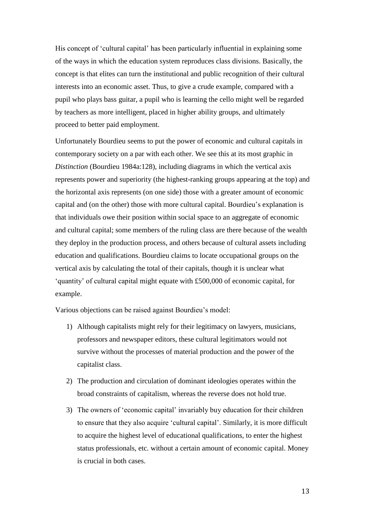His concept of 'cultural capital' has been particularly influential in explaining some of the ways in which the education system reproduces class divisions. Basically, the concept is that elites can turn the institutional and public recognition of their cultural interests into an economic asset. Thus, to give a crude example, compared with a pupil who plays bass guitar, a pupil who is learning the cello might well be regarded by teachers as more intelligent, placed in higher ability groups, and ultimately proceed to better paid employment.

Unfortunately Bourdieu seems to put the power of economic and cultural capitals in contemporary society on a par with each other. We see this at its most graphic in *Distinction* (Bourdieu 1984a:128), including diagrams in which the vertical axis represents power and superiority (the highest-ranking groups appearing at the top) and the horizontal axis represents (on one side) those with a greater amount of economic capital and (on the other) those with more cultural capital. Bourdieu's explanation is that individuals owe their position within social space to an aggregate of economic and cultural capital; some members of the ruling class are there because of the wealth they deploy in the production process, and others because of cultural assets including education and qualifications. Bourdieu claims to locate occupational groups on the vertical axis by calculating the total of their capitals, though it is unclear what 'quantity' of cultural capital might equate with £500,000 of economic capital, for example.

Various objections can be raised against Bourdieu's model:

- 1) Although capitalists might rely for their legitimacy on lawyers, musicians, professors and newspaper editors, these cultural legitimators would not survive without the processes of material production and the power of the capitalist class.
- 2) The production and circulation of dominant ideologies operates within the broad constraints of capitalism, whereas the reverse does not hold true.
- 3) The owners of 'economic capital' invariably buy education for their children to ensure that they also acquire 'cultural capital'. Similarly, it is more difficult to acquire the highest level of educational qualifications, to enter the highest status professionals, etc. without a certain amount of economic capital. Money is crucial in both cases.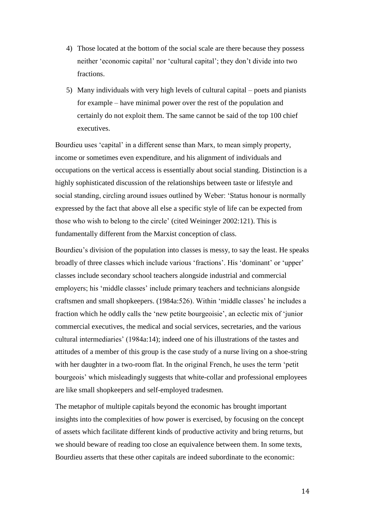- 4) Those located at the bottom of the social scale are there because they possess neither 'economic capital' nor 'cultural capital'; they don't divide into two fractions.
- 5) Many individuals with very high levels of cultural capital poets and pianists for example – have minimal power over the rest of the population and certainly do not exploit them. The same cannot be said of the top 100 chief executives.

Bourdieu uses 'capital' in a different sense than Marx, to mean simply property, income or sometimes even expenditure, and his alignment of individuals and occupations on the vertical access is essentially about social standing. Distinction is a highly sophisticated discussion of the relationships between taste or lifestyle and social standing, circling around issues outlined by Weber: 'Status honour is normally expressed by the fact that above all else a specific style of life can be expected from those who wish to belong to the circle' (cited Weininger 2002:121). This is fundamentally different from the Marxist conception of class.

Bourdieu's division of the population into classes is messy, to say the least. He speaks broadly of three classes which include various 'fractions'. His 'dominant' or 'upper' classes include secondary school teachers alongside industrial and commercial employers; his 'middle classes' include primary teachers and technicians alongside craftsmen and small shopkeepers. (1984a:526). Within 'middle classes' he includes a fraction which he oddly calls the 'new petite bourgeoisie', an eclectic mix of 'junior commercial executives, the medical and social services, secretaries, and the various cultural intermediaries' (1984a:14); indeed one of his illustrations of the tastes and attitudes of a member of this group is the case study of a nurse living on a shoe-string with her daughter in a two-room flat. In the original French, he uses the term 'petit bourgeois' which misleadingly suggests that white-collar and professional employees are like small shopkeepers and self-employed tradesmen.

The metaphor of multiple capitals beyond the economic has brought important insights into the complexities of how power is exercised, by focusing on the concept of assets which facilitate different kinds of productive activity and bring returns, but we should beware of reading too close an equivalence between them. In some texts, Bourdieu asserts that these other capitals are indeed subordinate to the economic: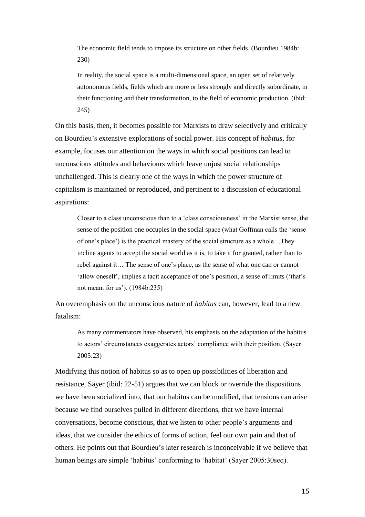The economic field tends to impose its structure on other fields. (Bourdieu 1984b: 230)

In reality, the social space is a multi-dimensional space, an open set of relatively autonomous fields, fields which are more or less strongly and directly subordinate, in their functioning and their transformation, to the field of economic production. (ibid: 245)

On this basis, then, it becomes possible for Marxists to draw selectively and critically on Bourdieu's extensive explorations of social power. His concept of *habitus*, for example, focuses our attention on the ways in which social positions can lead to unconscious attitudes and behaviours which leave unjust social relationships unchallenged. This is clearly one of the ways in which the power structure of capitalism is maintained or reproduced, and pertinent to a discussion of educational aspirations:

Closer to a class unconscious than to a 'class consciousness' in the Marxist sense, the sense of the position one occupies in the social space (what Goffman calls the 'sense of one's place') is the practical mastery of the social structure as a whole…They incline agents to accept the social world as it is, to take it for granted, rather than to rebel against it… The sense of one's place, as the sense of what one can or cannot 'allow oneself', implies a tacit acceptance of one's position, a sense of limits ('that's not meant for us'). (1984b:235)

An overemphasis on the unconscious nature of *habitus* can, however, lead to a new fatalism:

As many commentators have observed, his emphasis on the adaptation of the habitus to actors' circumstances exaggerates actors' compliance with their position. (Sayer 2005:23)

Modifying this notion of habitus so as to open up possibilities of liberation and resistance, Sayer (ibid: 22-51) argues that we can block or override the dispositions we have been socialized into, that our habitus can be modified, that tensions can arise because we find ourselves pulled in different directions, that we have internal conversations, become conscious, that we listen to other people's arguments and ideas, that we consider the ethics of forms of action, feel our own pain and that of others. He points out that Bourdieu's later research is inconceivable if we believe that human beings are simple 'habitus' conforming to 'habitat' (Sayer 2005:30seq).

15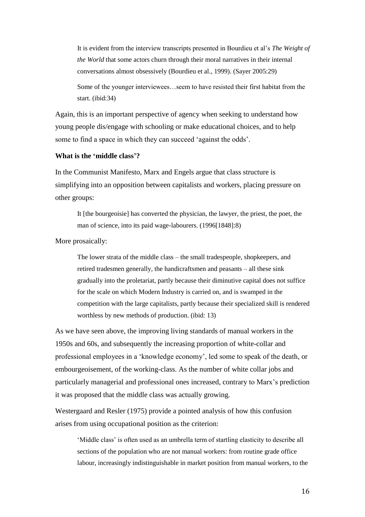It is evident from the interview transcripts presented in Bourdieu et al's *The Weight of the World* that some actors churn through their moral narratives in their internal conversations almost obsessively (Bourdieu et al., 1999). (Sayer 2005:29)

Some of the younger interviewees…seem to have resisted their first habitat from the start. (ibid:34)

Again, this is an important perspective of agency when seeking to understand how young people dis/engage with schooling or make educational choices, and to help some to find a space in which they can succeed 'against the odds'.

# **What is the 'middle class'?**

In the Communist Manifesto, Marx and Engels argue that class structure is simplifying into an opposition between capitalists and workers, placing pressure on other groups:

It [the bourgeoisie] has converted the physician, the lawyer, the priest, the poet, the man of science, into its paid wage-labourers. (1996[1848]:8)

More prosaically:

The lower strata of the middle class – the small tradespeople, shopkeepers, and retired tradesmen generally, the handicraftsmen and peasants – all these sink gradually into the proletariat, partly because their diminutive capital does not suffice for the scale on which Modern Industry is carried on, and is swamped in the competition with the large capitalists, partly because their specialized skill is rendered worthless by new methods of production. (ibid: 13)

As we have seen above, the improving living standards of manual workers in the 1950s and 60s, and subsequently the increasing proportion of white-collar and professional employees in a 'knowledge economy', led some to speak of the death, or embourgeoisement, of the working-class. As the number of white collar jobs and particularly managerial and professional ones increased, contrary to Marx's prediction it was proposed that the middle class was actually growing.

Westergaard and Resler (1975) provide a pointed analysis of how this confusion arises from using occupational position as the criterion:

'Middle class' is often used as an umbrella term of startling elasticity to describe all sections of the population who are not manual workers: from routine grade office labour, increasingly indistinguishable in market position from manual workers, to the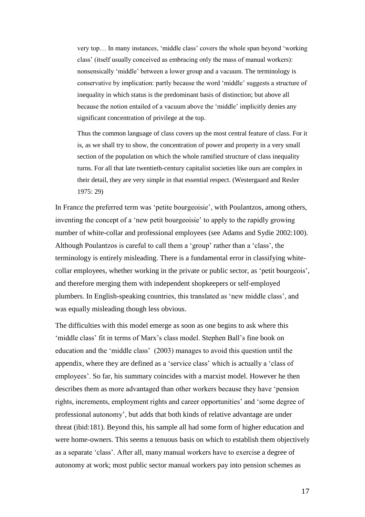very top… In many instances, 'middle class' covers the whole span beyond 'working class' (itself usually conceived as embracing only the mass of manual workers): nonsensically 'middle' between a lower group and a vacuum. The terminology is conservative by implication: partly because the word 'middle' suggests a structure of inequality in which status is the predominant basis of distinction; but above all because the notion entailed of a vacuum above the 'middle' implicitly denies any significant concentration of privilege at the top.

Thus the common language of class covers up the most central feature of class. For it is, as we shall try to show, the concentration of power and property in a very small section of the population on which the whole ramified structure of class inequality turns. For all that late twentieth-century capitalist societies like ours are complex in their detail, they are very simple in that essential respect. (Westergaard and Resler 1975: 29)

In France the preferred term was 'petite bourgeoisie', with Poulantzos, among others, inventing the concept of a 'new petit bourgeoisie' to apply to the rapidly growing number of white-collar and professional employees (see Adams and Sydie 2002:100). Although Poulantzos is careful to call them a 'group' rather than a 'class', the terminology is entirely misleading. There is a fundamental error in classifying whitecollar employees, whether working in the private or public sector, as 'petit bourgeois', and therefore merging them with independent shopkeepers or self-employed plumbers. In English-speaking countries, this translated as 'new middle class', and was equally misleading though less obvious.

The difficulties with this model emerge as soon as one begins to ask where this 'middle class' fit in terms of Marx's class model. Stephen Ball's fine book on education and the 'middle class' (2003) manages to avoid this question until the appendix, where they are defined as a 'service class' which is actually a 'class of employees'. So far, his summary coincides with a marxist model. However he then describes them as more advantaged than other workers because they have 'pension rights, increments, employment rights and career opportunities' and 'some degree of professional autonomy', but adds that both kinds of relative advantage are under threat (ibid:181). Beyond this, his sample all had some form of higher education and were home-owners. This seems a tenuous basis on which to establish them objectively as a separate 'class'. After all, many manual workers have to exercise a degree of autonomy at work; most public sector manual workers pay into pension schemes as

17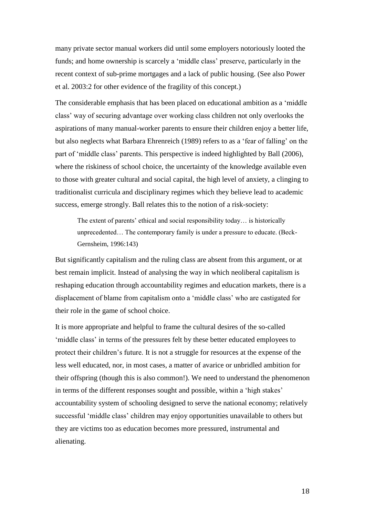many private sector manual workers did until some employers notoriously looted the funds; and home ownership is scarcely a 'middle class' preserve, particularly in the recent context of sub-prime mortgages and a lack of public housing. (See also Power et al. 2003:2 for other evidence of the fragility of this concept.)

The considerable emphasis that has been placed on educational ambition as a 'middle class' way of securing advantage over working class children not only overlooks the aspirations of many manual-worker parents to ensure their children enjoy a better life, but also neglects what Barbara Ehrenreich (1989) refers to as a 'fear of falling' on the part of 'middle class' parents. This perspective is indeed highlighted by Ball (2006), where the riskiness of school choice, the uncertainty of the knowledge available even to those with greater cultural and social capital, the high level of anxiety, a clinging to traditionalist curricula and disciplinary regimes which they believe lead to academic success, emerge strongly. Ball relates this to the notion of a risk-society:

The extent of parents' ethical and social responsibility today… is historically unprecedented… The contemporary family is under a pressure to educate. (Beck-Gernsheim, 1996:143)

But significantly capitalism and the ruling class are absent from this argument, or at best remain implicit. Instead of analysing the way in which neoliberal capitalism is reshaping education through accountability regimes and education markets, there is a displacement of blame from capitalism onto a 'middle class' who are castigated for their role in the game of school choice.

It is more appropriate and helpful to frame the cultural desires of the so-called 'middle class' in terms of the pressures felt by these better educated employees to protect their children's future. It is not a struggle for resources at the expense of the less well educated, nor, in most cases, a matter of avarice or unbridled ambition for their offspring (though this is also common!). We need to understand the phenomenon in terms of the different responses sought and possible, within a 'high stakes' accountability system of schooling designed to serve the national economy; relatively successful 'middle class' children may enjoy opportunities unavailable to others but they are victims too as education becomes more pressured, instrumental and alienating.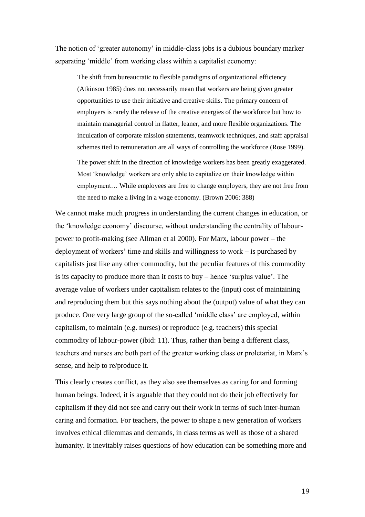The notion of 'greater autonomy' in middle-class jobs is a dubious boundary marker separating 'middle' from working class within a capitalist economy:

The shift from bureaucratic to flexible paradigms of organizational efficiency (Atkinson 1985) does not necessarily mean that workers are being given greater opportunities to use their initiative and creative skills. The primary concern of employers is rarely the release of the creative energies of the workforce but how to maintain managerial control in flatter, leaner, and more flexible organizations. The inculcation of corporate mission statements, teamwork techniques, and staff appraisal schemes tied to remuneration are all ways of controlling the workforce (Rose 1999).

The power shift in the direction of knowledge workers has been greatly exaggerated. Most 'knowledge' workers are only able to capitalize on their knowledge within employment… While employees are free to change employers, they are not free from the need to make a living in a wage economy. (Brown 2006: 388)

We cannot make much progress in understanding the current changes in education, or the 'knowledge economy' discourse, without understanding the centrality of labourpower to profit-making (see Allman et al 2000). For Marx, labour power – the deployment of workers' time and skills and willingness to work – is purchased by capitalists just like any other commodity, but the peculiar features of this commodity is its capacity to produce more than it costs to buy – hence 'surplus value'. The average value of workers under capitalism relates to the (input) cost of maintaining and reproducing them but this says nothing about the (output) value of what they can produce. One very large group of the so-called 'middle class' are employed, within capitalism, to maintain (e.g. nurses) or reproduce (e.g. teachers) this special commodity of labour-power (ibid: 11). Thus, rather than being a different class, teachers and nurses are both part of the greater working class or proletariat, in Marx's sense, and help to re/produce it.

This clearly creates conflict, as they also see themselves as caring for and forming human beings. Indeed, it is arguable that they could not do their job effectively for capitalism if they did not see and carry out their work in terms of such inter-human caring and formation. For teachers, the power to shape a new generation of workers involves ethical dilemmas and demands, in class terms as well as those of a shared humanity. It inevitably raises questions of how education can be something more and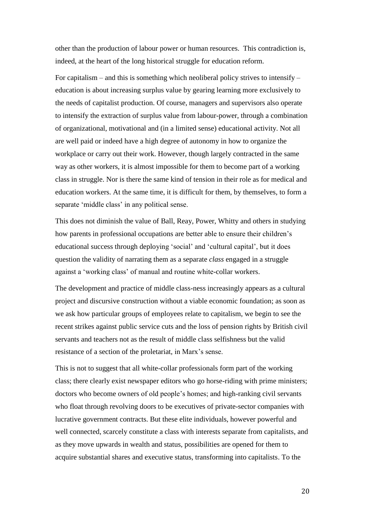other than the production of labour power or human resources. This contradiction is, indeed, at the heart of the long historical struggle for education reform.

For capitalism – and this is something which neoliberal policy strives to intensify – education is about increasing surplus value by gearing learning more exclusively to the needs of capitalist production. Of course, managers and supervisors also operate to intensify the extraction of surplus value from labour-power, through a combination of organizational, motivational and (in a limited sense) educational activity. Not all are well paid or indeed have a high degree of autonomy in how to organize the workplace or carry out their work. However, though largely contracted in the same way as other workers, it is almost impossible for them to become part of a working class in struggle. Nor is there the same kind of tension in their role as for medical and education workers. At the same time, it is difficult for them, by themselves, to form a separate 'middle class' in any political sense.

This does not diminish the value of Ball, Reay, Power, Whitty and others in studying how parents in professional occupations are better able to ensure their children's educational success through deploying 'social' and 'cultural capital', but it does question the validity of narrating them as a separate *class* engaged in a struggle against a 'working class' of manual and routine white-collar workers.

The development and practice of middle class-ness increasingly appears as a cultural project and discursive construction without a viable economic foundation; as soon as we ask how particular groups of employees relate to capitalism, we begin to see the recent strikes against public service cuts and the loss of pension rights by British civil servants and teachers not as the result of middle class selfishness but the valid resistance of a section of the proletariat, in Marx's sense.

This is not to suggest that all white-collar professionals form part of the working class; there clearly exist newspaper editors who go horse-riding with prime ministers; doctors who become owners of old people's homes; and high-ranking civil servants who float through revolving doors to be executives of private-sector companies with lucrative government contracts. But these elite individuals, however powerful and well connected, scarcely constitute a class with interests separate from capitalists, and as they move upwards in wealth and status, possibilities are opened for them to acquire substantial shares and executive status, transforming into capitalists. To the

20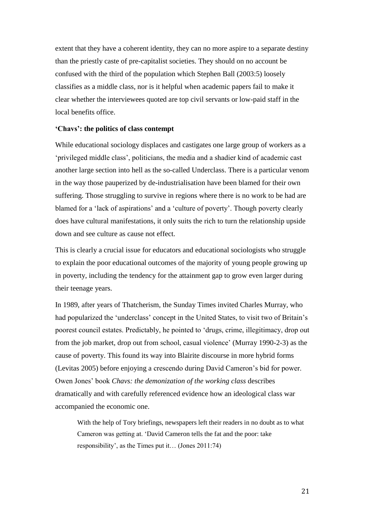extent that they have a coherent identity, they can no more aspire to a separate destiny than the priestly caste of pre-capitalist societies. They should on no account be confused with the third of the population which Stephen Ball (2003:5) loosely classifies as a middle class, nor is it helpful when academic papers fail to make it clear whether the interviewees quoted are top civil servants or low-paid staff in the local benefits office.

# **'Chavs': the politics of class contempt**

While educational sociology displaces and castigates one large group of workers as a 'privileged middle class', politicians, the media and a shadier kind of academic cast another large section into hell as the so-called Underclass. There is a particular venom in the way those pauperized by de-industrialisation have been blamed for their own suffering. Those struggling to survive in regions where there is no work to be had are blamed for a 'lack of aspirations' and a 'culture of poverty'. Though poverty clearly does have cultural manifestations, it only suits the rich to turn the relationship upside down and see culture as cause not effect.

This is clearly a crucial issue for educators and educational sociologists who struggle to explain the poor educational outcomes of the majority of young people growing up in poverty, including the tendency for the attainment gap to grow even larger during their teenage years.

In 1989, after years of Thatcherism, the Sunday Times invited Charles Murray, who had popularized the 'underclass' concept in the United States, to visit two of Britain's poorest council estates. Predictably, he pointed to 'drugs, crime, illegitimacy, drop out from the job market, drop out from school, casual violence' (Murray 1990-2-3) as the cause of poverty. This found its way into Blairite discourse in more hybrid forms (Levitas 2005) before enjoying a crescendo during David Cameron's bid for power. Owen Jones' book *Chavs: the demonization of the working class* describes dramatically and with carefully referenced evidence how an ideological class war accompanied the economic one.

With the help of Tory briefings, newspapers left their readers in no doubt as to what Cameron was getting at. 'David Cameron tells the fat and the poor: take responsibility', as the Times put it… (Jones 2011:74)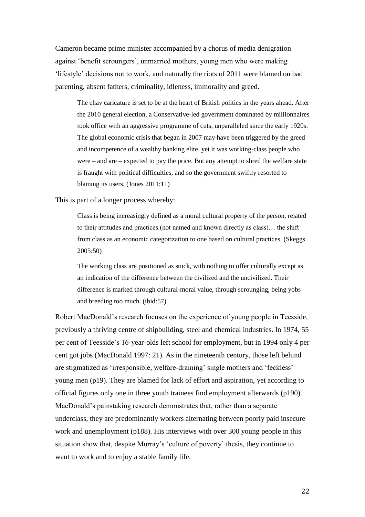Cameron became prime minister accompanied by a chorus of media denigration against 'benefit scroungers', unmarried mothers, young men who were making 'lifestyle' decisions not to work, and naturally the riots of 2011 were blamed on bad parenting, absent fathers, criminality, idleness, immorality and greed.

The chav caricature is set to be at the heart of British politics in the years ahead. After the 2010 general election, a Conservative-led government dominated by millionnaires took office with an aggressive programme of cuts, unparalleled since the early 1920s. The global economic crisis that began in 2007 may have been triggered by the greed and incompetence of a wealthy banking elite, yet it was working-class people who were – and are – expected to pay the price. But any attempt to shred the welfare state is fraught with political difficulties, and so the government swiftly resorted to blaming its users. (Jones 2011:11)

This is part of a longer process whereby:

Class is being increasingly defined as a moral cultural property of the person, related to their attitudes and practices (not named and known directly as class)… the shift from class as an economic categorization to one based on cultural practices. (Skeggs 2005:50)

The working class are positioned as stuck, with nothing to offer culturally except as an indication of the difference between the civilized and the uncivilized. Their difference is marked through cultural-moral value, through scrounging, being yobs and breeding too much. (ibid:57)

Robert MacDonald's research focuses on the experience of young people in Teesside, previously a thriving centre of shipbuilding, steel and chemical industries. In 1974, 55 per cent of Teesside's 16-year-olds left school for employment, but in 1994 only 4 per cent got jobs (MacDonald 1997: 21). As in the nineteenth century, those left behind are stigmatized as 'irresponsible, welfare-draining' single mothers and 'feckless' young men (p19). They are blamed for lack of effort and aspiration, yet according to official figures only one in three youth trainees find employment afterwards (p190). MacDonald's painstaking research demonstrates that, rather than a separate underclass, they are predominantly workers alternating between poorly paid insecure work and unemployment (p188). His interviews with over 300 young people in this situation show that, despite Murray's 'culture of poverty' thesis, they continue to want to work and to enjoy a stable family life.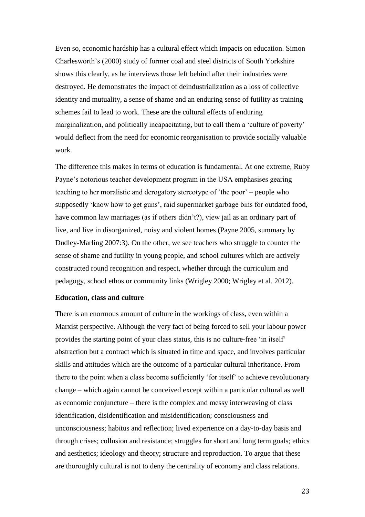Even so, economic hardship has a cultural effect which impacts on education. Simon Charlesworth's (2000) study of former coal and steel districts of South Yorkshire shows this clearly, as he interviews those left behind after their industries were destroyed. He demonstrates the impact of deindustrialization as a loss of collective identity and mutuality, a sense of shame and an enduring sense of futility as training schemes fail to lead to work. These are the cultural effects of enduring marginalization, and politically incapacitating, but to call them a 'culture of poverty' would deflect from the need for economic reorganisation to provide socially valuable work.

The difference this makes in terms of education is fundamental. At one extreme, Ruby Payne's notorious teacher development program in the USA emphasises gearing teaching to her moralistic and derogatory stereotype of 'the poor' – people who supposedly 'know how to get guns', raid supermarket garbage bins for outdated food, have common law marriages (as if others didn't?), view jail as an ordinary part of live, and live in disorganized, noisy and violent homes (Payne 2005, summary by Dudley-Marling 2007:3). On the other, we see teachers who struggle to counter the sense of shame and futility in young people, and school cultures which are actively constructed round recognition and respect, whether through the curriculum and pedagogy, school ethos or community links (Wrigley 2000; Wrigley et al. 2012).

### **Education, class and culture**

There is an enormous amount of culture in the workings of class, even within a Marxist perspective. Although the very fact of being forced to sell your labour power provides the starting point of your class status, this is no culture-free 'in itself' abstraction but a contract which is situated in time and space, and involves particular skills and attitudes which are the outcome of a particular cultural inheritance. From there to the point when a class become sufficiently 'for itself' to achieve revolutionary change – which again cannot be conceived except within a particular cultural as well as economic conjuncture – there is the complex and messy interweaving of class identification, disidentification and misidentification; consciousness and unconsciousness; habitus and reflection; lived experience on a day-to-day basis and through crises; collusion and resistance; struggles for short and long term goals; ethics and aesthetics; ideology and theory; structure and reproduction. To argue that these are thoroughly cultural is not to deny the centrality of economy and class relations.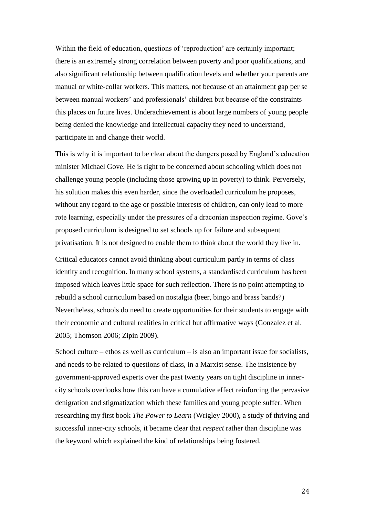Within the field of education, questions of 'reproduction' are certainly important; there is an extremely strong correlation between poverty and poor qualifications, and also significant relationship between qualification levels and whether your parents are manual or white-collar workers. This matters, not because of an attainment gap per se between manual workers' and professionals' children but because of the constraints this places on future lives. Underachievement is about large numbers of young people being denied the knowledge and intellectual capacity they need to understand, participate in and change their world.

This is why it is important to be clear about the dangers posed by England's education minister Michael Gove. He is right to be concerned about schooling which does not challenge young people (including those growing up in poverty) to think. Perversely, his solution makes this even harder, since the overloaded curriculum he proposes, without any regard to the age or possible interests of children, can only lead to more rote learning, especially under the pressures of a draconian inspection regime. Gove's proposed curriculum is designed to set schools up for failure and subsequent privatisation. It is not designed to enable them to think about the world they live in.

Critical educators cannot avoid thinking about curriculum partly in terms of class identity and recognition. In many school systems, a standardised curriculum has been imposed which leaves little space for such reflection. There is no point attempting to rebuild a school curriculum based on nostalgia (beer, bingo and brass bands?) Nevertheless, schools do need to create opportunities for their students to engage with their economic and cultural realities in critical but affirmative ways (Gonzalez et al. 2005; Thomson 2006; Zipin 2009).

School culture – ethos as well as curriculum – is also an important issue for socialists, and needs to be related to questions of class, in a Marxist sense. The insistence by government-approved experts over the past twenty years on tight discipline in innercity schools overlooks how this can have a cumulative effect reinforcing the pervasive denigration and stigmatization which these families and young people suffer. When researching my first book *The Power to Learn* (Wrigley 2000), a study of thriving and successful inner-city schools, it became clear that *respect* rather than discipline was the keyword which explained the kind of relationships being fostered.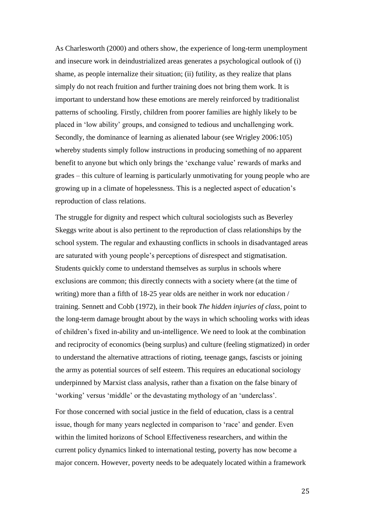As Charlesworth (2000) and others show, the experience of long-term unemployment and insecure work in deindustrialized areas generates a psychological outlook of (i) shame, as people internalize their situation; (ii) futility, as they realize that plans simply do not reach fruition and further training does not bring them work. It is important to understand how these emotions are merely reinforced by traditionalist patterns of schooling. Firstly, children from poorer families are highly likely to be placed in 'low ability' groups, and consigned to tedious and unchallenging work. Secondly, the dominance of learning as alienated labour (see Wrigley 2006:105) whereby students simply follow instructions in producing something of no apparent benefit to anyone but which only brings the 'exchange value' rewards of marks and grades – this culture of learning is particularly unmotivating for young people who are growing up in a climate of hopelessness. This is a neglected aspect of education's reproduction of class relations.

The struggle for dignity and respect which cultural sociologists such as Beverley Skeggs write about is also pertinent to the reproduction of class relationships by the school system. The regular and exhausting conflicts in schools in disadvantaged areas are saturated with young people's perceptions of disrespect and stigmatisation. Students quickly come to understand themselves as surplus in schools where exclusions are common; this directly connects with a society where (at the time of writing) more than a fifth of 18-25 year olds are neither in work nor education / training. Sennett and Cobb (1972), in their book *The hidden injuries of class*, point to the long-term damage brought about by the ways in which schooling works with ideas of children's fixed in-ability and un-intelligence. We need to look at the combination and reciprocity of economics (being surplus) and culture (feeling stigmatized) in order to understand the alternative attractions of rioting, teenage gangs, fascists or joining the army as potential sources of self esteem. This requires an educational sociology underpinned by Marxist class analysis, rather than a fixation on the false binary of 'working' versus 'middle' or the devastating mythology of an 'underclass'.

For those concerned with social justice in the field of education, class is a central issue, though for many years neglected in comparison to 'race' and gender. Even within the limited horizons of School Effectiveness researchers, and within the current policy dynamics linked to international testing, poverty has now become a major concern. However, poverty needs to be adequately located within a framework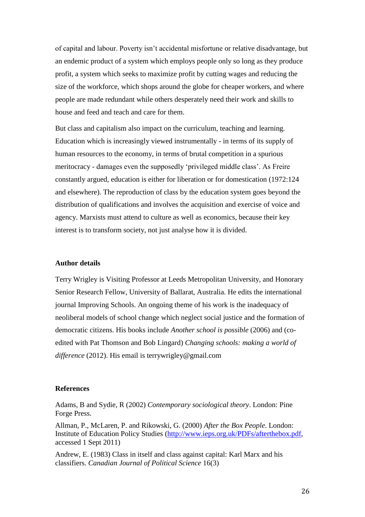of capital and labour. Poverty isn't accidental misfortune or relative disadvantage, but an endemic product of a system which employs people only so long as they produce profit, a system which seeks to maximize profit by cutting wages and reducing the size of the workforce, which shops around the globe for cheaper workers, and where people are made redundant while others desperately need their work and skills to house and feed and teach and care for them.

But class and capitalism also impact on the curriculum, teaching and learning. Education which is increasingly viewed instrumentally - in terms of its supply of human resources to the economy, in terms of brutal competition in a spurious meritocracy - damages even the supposedly 'privileged middle class'. As Freire constantly argued, education is either for liberation or for domestication (1972:124 and elsewhere). The reproduction of class by the education system goes beyond the distribution of qualifications and involves the acquisition and exercise of voice and agency. Marxists must attend to culture as well as economics, because their key interest is to transform society, not just analyse how it is divided.

# **Author details**

Terry Wrigley is Visiting Professor at Leeds Metropolitan University, and Honorary Senior Research Fellow, University of Ballarat, Australia. He edits the international journal Improving Schools. An ongoing theme of his work is the inadequacy of neoliberal models of school change which neglect social justice and the formation of democratic citizens. His books include *Another school is possible* (2006) and (coedited with Pat Thomson and Bob Lingard) *Changing schools: making a world of difference* (2012). His email is [terrywrigley@gmail.com](mailto:terrywrigley@gmail.com)

## **References**

Adams, B and Sydie, R (2002) *Contemporary sociological theory*. London: Pine Forge Press.

Allman, P., McLaren, P. and Rikowski, G. (2000) *After the Box People*. London: Institute of Education Policy Studies [\(http://www.ieps.org.uk/PDFs/afterthebox.pdf,](http://www.ieps.org.uk/PDFs/afterthebox.pdf) accessed 1 Sept 2011)

Andrew, E. (1983) Class in itself and class against capital: Karl Marx and his classifiers. *Canadian Journal of Political Science* 16(3)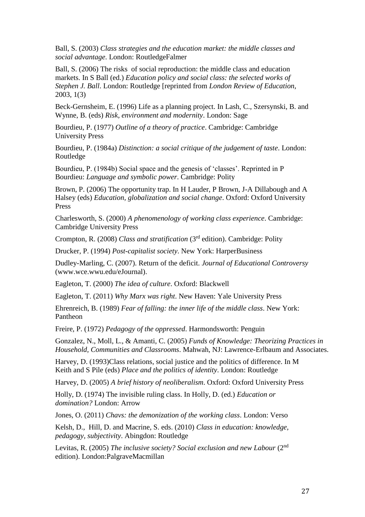Ball, S. (2003) *Class strategies and the education market: the middle classes and social advantage*. London: RoutledgeFalmer

Ball, S. (2006) The risks of social reproduction: the middle class and education markets. In S Ball (ed.) *Education policy and social class: the selected works of Stephen J. Ball*. London: Routledge [reprinted from *London Review of Education*, 2003, 1(3)

Beck-Gernsheim, E. (1996) Life as a planning project. In Lash, C., Szersynski, B. and Wynne, B. (eds) *Risk, environment and modernity*. London: Sage

Bourdieu, P. (1977) *Outline of a theory of practice*. Cambridge: Cambridge University Press

Bourdieu, P. (1984a) *Distinction: a social critique of the judgement of taste*. London: Routledge

Bourdieu, P. (1984b) Social space and the genesis of 'classes'. Reprinted in P Bourdieu: *Language and symbolic power*. Cambridge: Polity

Brown, P. (2006) The opportunity trap. In H Lauder, P Brown, J-A Dillabough and A Halsey (eds) *Education, globalization and social change*. Oxford: Oxford University Press

Charlesworth, S. (2000) *A phenomenology of working class experience*. Cambridge: Cambridge University Press

Crompton, R. (2008) *Class and stratification* (3rd edition). Cambridge: Polity

Drucker, P. (1994) *Post-capitalist society*. New York: HarperBusiness

Dudley-Marling, C. (2007). Return of the deficit. *Journal of Educational Controversy*  (www.wce.wwu.edu/eJournal).

Eagleton, T. (2000) *The idea of culture*. Oxford: Blackwell

Eagleton, T. (2011) *Why Marx was right*. New Haven: Yale University Press

Ehrenreich, B. (1989) *Fear of falling: the inner life of the middle class*. New York: Pantheon

Freire, P. (1972) *Pedagogy of the oppressed*. Harmondsworth: Penguin

Gonzalez, N., Moll, L., & Amanti, C. (2005) *Funds of Knowledge: Theorizing Practices in Household, Communities and Classrooms*. Mahwah, NJ: Lawrence-Erlbaum and Associates.

Harvey, D. (1993)Class relations, social justice and the politics of difference. In M Keith and S Pile (eds) *Place and the politics of identity*. London: Routledge

Harvey, D. (2005) *A brief history of neoliberalism*. Oxford: Oxford University Press

Holly, D. (1974) The invisible ruling class. In Holly, D. (ed.) *Education or domination?* London: Arrow

Jones, O. (2011) *Chavs: the demonization of the working class*. London: Verso

Kelsh, D., Hill, D. and Macrine, S. eds. (2010) *Class in education: knowledge, pedagogy, subjectivity*. Abingdon: Routledge

Levitas, R. (2005) *The inclusive society? Social exclusion and new Labour* (2nd edition). London:PalgraveMacmillan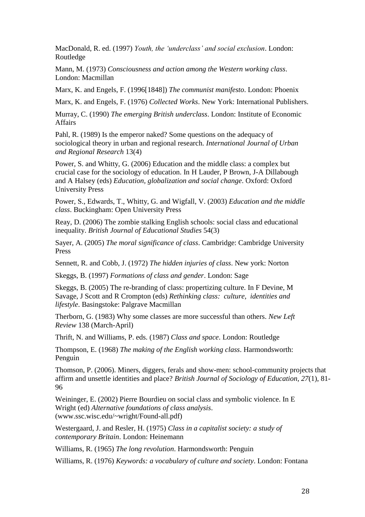MacDonald, R. ed. (1997) *Youth, the 'underclass' and social exclusion*. London: Routledge

Mann, M. (1973) *Consciousness and action among the Western working class*. London: Macmillan

Marx, K. and Engels, F. (1996[1848]) *The communist manifesto*. London: Phoenix

Marx, K. and Engels, F. (1976) *Collected Works*. New York: International Publishers.

Murray, C. (1990) *The emerging British underclass*. London: Institute of Economic Affairs

Pahl, R. (1989) Is the emperor naked? Some questions on the adequacy of sociological theory in urban and regional research. *International Journal of Urban and Regional Research* 13(4)

Power, S. and Whitty, G. (2006) Education and the middle class: a complex but crucial case for the sociology of education. In H Lauder, P Brown, J-A Dillabough and A Halsey (eds) *Education, globalization and social change*. Oxford: Oxford University Press

Power, S., Edwards, T., Whitty, G. and Wigfall, V. (2003) *Education and the middle class*. Buckingham: Open University Press

Reay, D. (2006) The zombie stalking English schools: social class and educational inequality. *British Journal of Educational Studies* 54(3)

Sayer, A. (2005) *The moral significance of class*. Cambridge: Cambridge University Press

Sennett, R. and Cobb, J. (1972) *The hidden injuries of class*. New york: Norton

Skeggs, B. (1997) *Formations of class and gender*. London: Sage

Skeggs, B. (2005) The re-branding of class: propertizing culture. In F Devine, M Savage, J Scott and R Crompton (eds) *Rethinking class: culture, identities and lifestyle*. Basingstoke: Palgrave Macmillan

Therborn, G. (1983) Why some classes are more successful than others. *New Left Review* 138 (March-April)

Thrift, N. and Williams, P. eds. (1987) *Class and space*. London: Routledge

Thompson, E. (1968) *The making of the English working class*. Harmondsworth: Penguin

Thomson, P. (2006). Miners, diggers, ferals and show-men: school-community projects that affirm and unsettle identities and place? *British Journal of Sociology of Education, 27*(1), 81- 96

Weininger, E. (2002) Pierre Bourdieu on social class and symbolic violence. In E Wright (ed) *Alternative foundations of class analysis*. (www.ssc.wisc.edu/~wright/Found-all.pdf)

Westergaard, J. and Resler, H. (1975) *Class in a capitalist society: a study of contemporary Britain*. London: Heinemann

Williams, R. (1965) *The long revolution*. Harmondsworth: Penguin

Williams, R. (1976) *Keywords: a vocabulary of culture and society*. London: Fontana